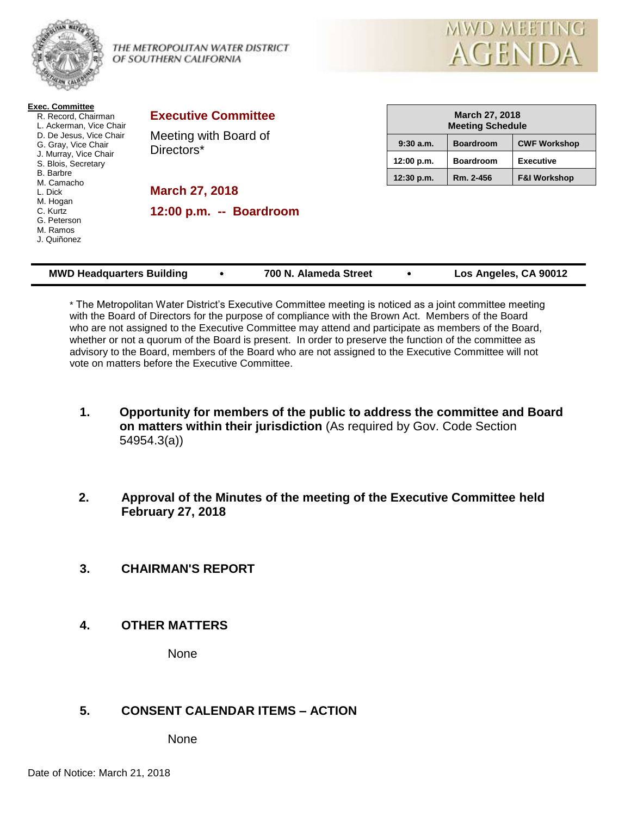

#### THE METROPOLITAN WATER DISTRICT OF SOUTHERN CALIFORNIA



| <b>Exec. Committee</b><br>R. Record, Chairman<br>L. Ackerman, Vice Chair<br>D. De Jesus, Vice Chair<br>G. Gray, Vice Chair<br>J. Murray, Vice Chair<br>S. Blois, Secretary<br><b>B.</b> Barbre<br>M. Camacho<br>L. Dick<br>M. Hogan<br>C. Kurtz<br>G. Peterson<br>M. Ramos<br>J. Quiñonez | <b>Executive Committee</b><br>Meeting with Board of<br>Directors* |             | <b>March 27, 2018</b><br><b>Meeting Schedule</b> |                         |  |
|-------------------------------------------------------------------------------------------------------------------------------------------------------------------------------------------------------------------------------------------------------------------------------------------|-------------------------------------------------------------------|-------------|--------------------------------------------------|-------------------------|--|
|                                                                                                                                                                                                                                                                                           |                                                                   | $9:30$ a.m. | <b>Boardroom</b>                                 | <b>CWF Workshop</b>     |  |
|                                                                                                                                                                                                                                                                                           |                                                                   | 12:00 p.m.  | <b>Boardroom</b>                                 | <b>Executive</b>        |  |
|                                                                                                                                                                                                                                                                                           |                                                                   | 12:30 p.m.  | Rm. 2-456                                        | <b>F&amp;I Workshop</b> |  |
|                                                                                                                                                                                                                                                                                           | <b>March 27, 2018</b>                                             |             |                                                  |                         |  |
|                                                                                                                                                                                                                                                                                           | 12:00 p.m. -- Boardroom                                           |             |                                                  |                         |  |

\* The Metropolitan Water District's Executive Committee meeting is noticed as a joint committee meeting with the Board of Directors for the purpose of compliance with the Brown Act. Members of the Board who are not assigned to the Executive Committee may attend and participate as members of the Board, whether or not a quorum of the Board is present. In order to preserve the function of the committee as advisory to the Board, members of the Board who are not assigned to the Executive Committee will not vote on matters before the Executive Committee.

**MWD Headquarters Building 700 N. Alameda Street Los Angeles, CA 90012**

- **1. Opportunity for members of the public to address the committee and Board on matters within their jurisdiction** (As required by Gov. Code Section 54954.3(a))
- **2. Approval of the Minutes of the meeting of the Executive Committee held February 27, 2018**
- **3. CHAIRMAN'S REPORT**
- **4. OTHER MATTERS**

None

# **5. CONSENT CALENDAR ITEMS – ACTION**

None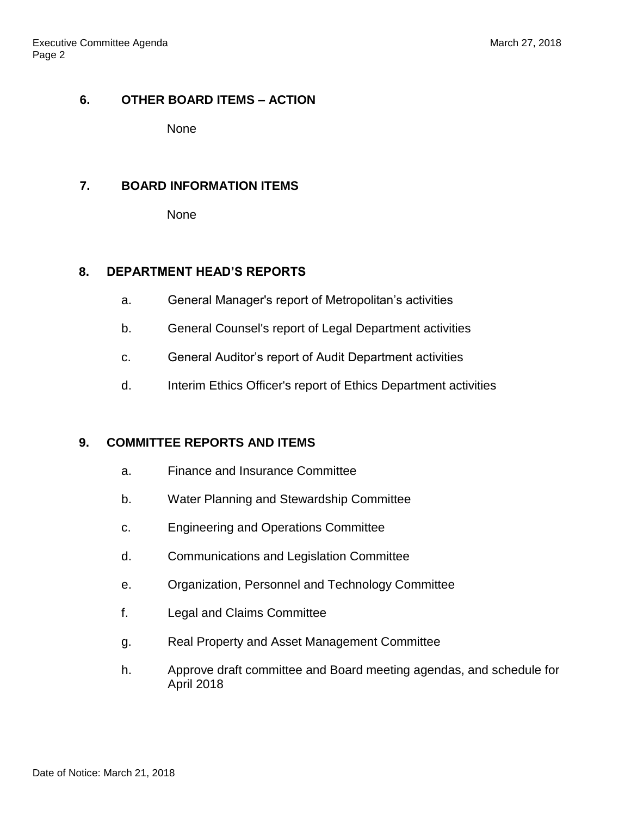# **6. OTHER BOARD ITEMS – ACTION**

None

# **7. BOARD INFORMATION ITEMS**

None

# **8. DEPARTMENT HEAD'S REPORTS**

- a. General Manager's report of Metropolitan's activities
- b. General Counsel's report of Legal Department activities
- c. General Auditor's report of Audit Department activities
- d. Interim Ethics Officer's report of Ethics Department activities

# **9. COMMITTEE REPORTS AND ITEMS**

- a. Finance and Insurance Committee
- b. Water Planning and Stewardship Committee
- c. Engineering and Operations Committee
- d. Communications and Legislation Committee
- e. Organization, Personnel and Technology Committee
- f. Legal and Claims Committee
- g. Real Property and Asset Management Committee
- h. Approve draft committee and Board meeting agendas, and schedule for April 2018